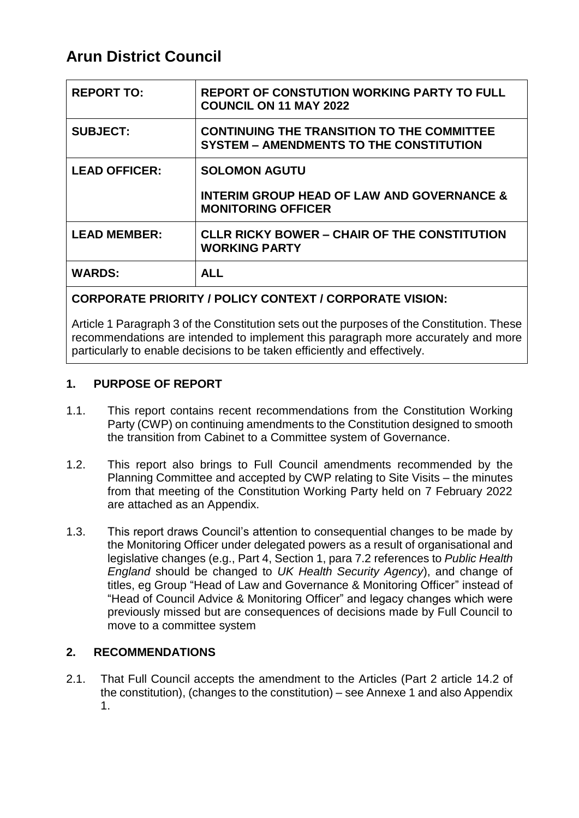# **Arun District Council**

| <b>REPORT TO:</b>    | <b>REPORT OF CONSTUTION WORKING PARTY TO FULL</b><br><b>COUNCIL ON 11 MAY 2022</b>                         |
|----------------------|------------------------------------------------------------------------------------------------------------|
| <b>SUBJECT:</b>      | <b>CONTINUING THE TRANSITION TO THE COMMITTEE</b><br><b>SYSTEM - AMENDMENTS TO THE CONSTITUTION</b>        |
| <b>LEAD OFFICER:</b> | <b>SOLOMON AGUTU</b><br><b>INTERIM GROUP HEAD OF LAW AND GOVERNANCE &amp;</b><br><b>MONITORING OFFICER</b> |
| <b>LEAD MEMBER:</b>  | <b>CLLR RICKY BOWER - CHAIR OF THE CONSTITUTION</b><br><b>WORKING PARTY</b>                                |
| <b>WARDS:</b>        | <b>ALL</b>                                                                                                 |
|                      |                                                                                                            |

# **CORPORATE PRIORITY / POLICY CONTEXT / CORPORATE VISION:**

Article 1 Paragraph 3 of the Constitution sets out the purposes of the Constitution. These recommendations are intended to implement this paragraph more accurately and more particularly to enable decisions to be taken efficiently and effectively.

## **1. PURPOSE OF REPORT**

- 1.1. This report contains recent recommendations from the Constitution Working Party (CWP) on continuing amendments to the Constitution designed to smooth the transition from Cabinet to a Committee system of Governance.
- 1.2. This report also brings to Full Council amendments recommended by the Planning Committee and accepted by CWP relating to Site Visits – the minutes from that meeting of the Constitution Working Party held on 7 February 2022 are attached as an Appendix.
- 1.3. This report draws Council's attention to consequential changes to be made by the Monitoring Officer under delegated powers as a result of organisational and legislative changes (e.g., Part 4, Section 1, para 7.2 references to *Public Health England* should be changed to *UK Health Security Agency*), and change of titles, eg Group "Head of Law and Governance & Monitoring Officer" instead of "Head of Council Advice & Monitoring Officer" and legacy changes which were previously missed but are consequences of decisions made by Full Council to move to a committee system

## **2. RECOMMENDATIONS**

2.1. That Full Council accepts the amendment to the Articles (Part 2 article 14.2 of the constitution), (changes to the constitution) – see Annexe 1 and also Appendix 1.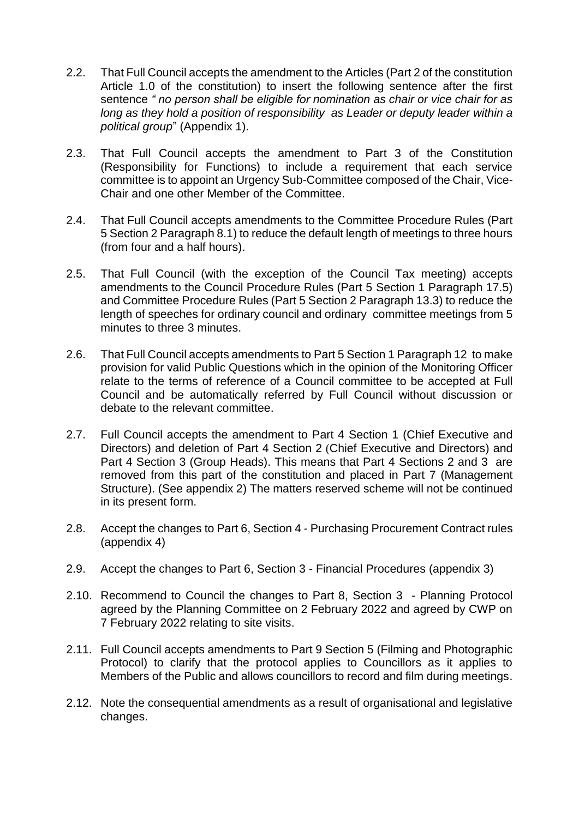- 2.2. That Full Council accepts the amendment to the Articles (Part 2 of the constitution Article 1.0 of the constitution) to insert the following sentence after the first sentence *" no person shall be eligible for nomination as chair or vice chair for as long as they hold a position of responsibility as Leader or deputy leader within a political group*" (Appendix 1).
- 2.3. That Full Council accepts the amendment to Part 3 of the Constitution (Responsibility for Functions) to include a requirement that each service committee is to appoint an Urgency Sub-Committee composed of the Chair, Vice-Chair and one other Member of the Committee.
- 2.4. That Full Council accepts amendments to the Committee Procedure Rules (Part 5 Section 2 Paragraph 8.1) to reduce the default length of meetings to three hours (from four and a half hours).
- 2.5. That Full Council (with the exception of the Council Tax meeting) accepts amendments to the Council Procedure Rules (Part 5 Section 1 Paragraph 17.5) and Committee Procedure Rules (Part 5 Section 2 Paragraph 13.3) to reduce the length of speeches for ordinary council and ordinary committee meetings from 5 minutes to three 3 minutes.
- 2.6. That Full Council accepts amendments to Part 5 Section 1 Paragraph 12 to make provision for valid Public Questions which in the opinion of the Monitoring Officer relate to the terms of reference of a Council committee to be accepted at Full Council and be automatically referred by Full Council without discussion or debate to the relevant committee.
- 2.7. Full Council accepts the amendment to Part 4 Section 1 (Chief Executive and Directors) and deletion of Part 4 Section 2 (Chief Executive and Directors) and Part 4 Section 3 (Group Heads). This means that Part 4 Sections 2 and 3 are removed from this part of the constitution and placed in Part 7 (Management Structure). (See appendix 2) The matters reserved scheme will not be continued in its present form.
- 2.8. Accept the changes to Part 6, Section 4 Purchasing Procurement Contract rules (appendix 4)
- 2.9. Accept the changes to Part 6, Section 3 Financial Procedures (appendix 3)
- 2.10. Recommend to Council the changes to Part 8, Section 3 Planning Protocol agreed by the Planning Committee on 2 February 2022 and agreed by CWP on 7 February 2022 relating to site visits.
- 2.11. Full Council accepts amendments to Part 9 Section 5 (Filming and Photographic Protocol) to clarify that the protocol applies to Councillors as it applies to Members of the Public and allows councillors to record and film during meetings.
- 2.12. Note the consequential amendments as a result of organisational and legislative changes.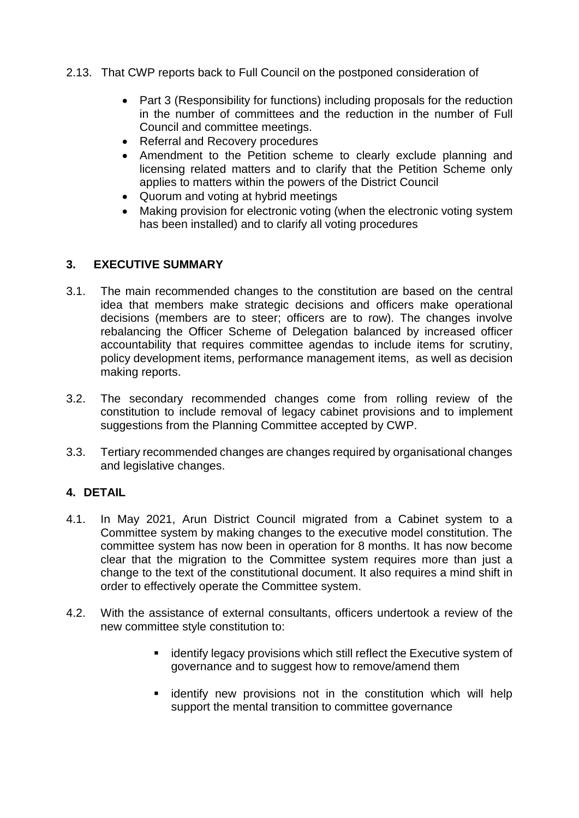- 2.13. That CWP reports back to Full Council on the postponed consideration of
	- Part 3 (Responsibility for functions) including proposals for the reduction in the number of committees and the reduction in the number of Full Council and committee meetings.
	- Referral and Recovery procedures
	- Amendment to the Petition scheme to clearly exclude planning and licensing related matters and to clarify that the Petition Scheme only applies to matters within the powers of the District Council
	- Quorum and voting at hybrid meetings
	- Making provision for electronic voting (when the electronic voting system has been installed) and to clarify all voting procedures

## **3. EXECUTIVE SUMMARY**

- 3.1. The main recommended changes to the constitution are based on the central idea that members make strategic decisions and officers make operational decisions (members are to steer; officers are to row). The changes involve rebalancing the Officer Scheme of Delegation balanced by increased officer accountability that requires committee agendas to include items for scrutiny, policy development items, performance management items, as well as decision making reports.
- 3.2. The secondary recommended changes come from rolling review of the constitution to include removal of legacy cabinet provisions and to implement suggestions from the Planning Committee accepted by CWP.
- 3.3. Tertiary recommended changes are changes required by organisational changes and legislative changes.

## **4. DETAIL**

- 4.1. In May 2021, Arun District Council migrated from a Cabinet system to a Committee system by making changes to the executive model constitution. The committee system has now been in operation for 8 months. It has now become clear that the migration to the Committee system requires more than just a change to the text of the constitutional document. It also requires a mind shift in order to effectively operate the Committee system.
- 4.2. With the assistance of external consultants, officers undertook a review of the new committee style constitution to:
	- **EXECUTE:** identify legacy provisions which still reflect the Executive system of governance and to suggest how to remove/amend them
	- **Example 1** identify new provisions not in the constitution which will help support the mental transition to committee governance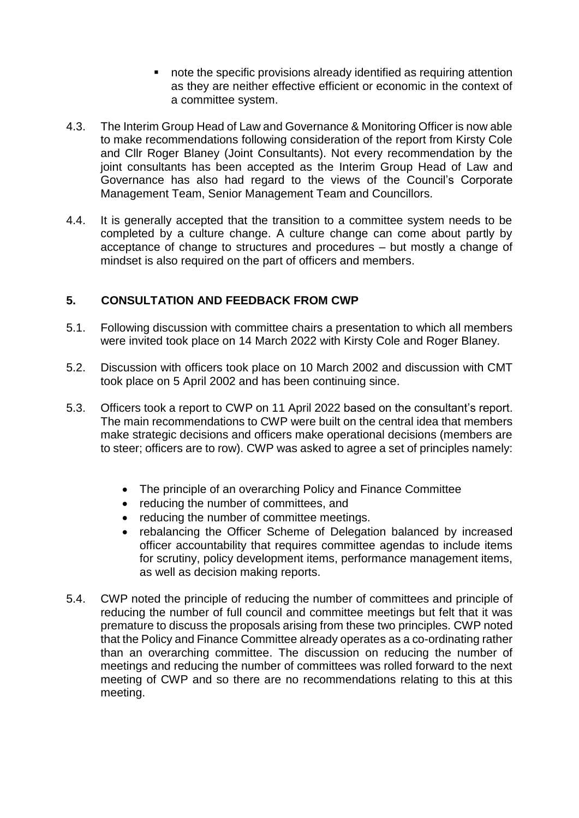- note the specific provisions already identified as requiring attention as they are neither effective efficient or economic in the context of a committee system.
- 4.3. The Interim Group Head of Law and Governance & Monitoring Officer is now able to make recommendations following consideration of the report from Kirsty Cole and Cllr Roger Blaney (Joint Consultants). Not every recommendation by the joint consultants has been accepted as the Interim Group Head of Law and Governance has also had regard to the views of the Council's Corporate Management Team, Senior Management Team and Councillors.
- 4.4. It is generally accepted that the transition to a committee system needs to be completed by a culture change. A culture change can come about partly by acceptance of change to structures and procedures – but mostly a change of mindset is also required on the part of officers and members.

# **5. CONSULTATION AND FEEDBACK FROM CWP**

- 5.1. Following discussion with committee chairs a presentation to which all members were invited took place on 14 March 2022 with Kirsty Cole and Roger Blaney.
- 5.2. Discussion with officers took place on 10 March 2002 and discussion with CMT took place on 5 April 2002 and has been continuing since.
- 5.3. Officers took a report to CWP on 11 April 2022 based on the consultant's report. The main recommendations to CWP were built on the central idea that members make strategic decisions and officers make operational decisions (members are to steer; officers are to row). CWP was asked to agree a set of principles namely:
	- The principle of an overarching Policy and Finance Committee
	- reducing the number of committees, and
	- reducing the number of committee meetings.
	- rebalancing the Officer Scheme of Delegation balanced by increased officer accountability that requires committee agendas to include items for scrutiny, policy development items, performance management items, as well as decision making reports.
- 5.4. CWP noted the principle of reducing the number of committees and principle of reducing the number of full council and committee meetings but felt that it was premature to discuss the proposals arising from these two principles. CWP noted that the Policy and Finance Committee already operates as a co-ordinating rather than an overarching committee. The discussion on reducing the number of meetings and reducing the number of committees was rolled forward to the next meeting of CWP and so there are no recommendations relating to this at this meeting.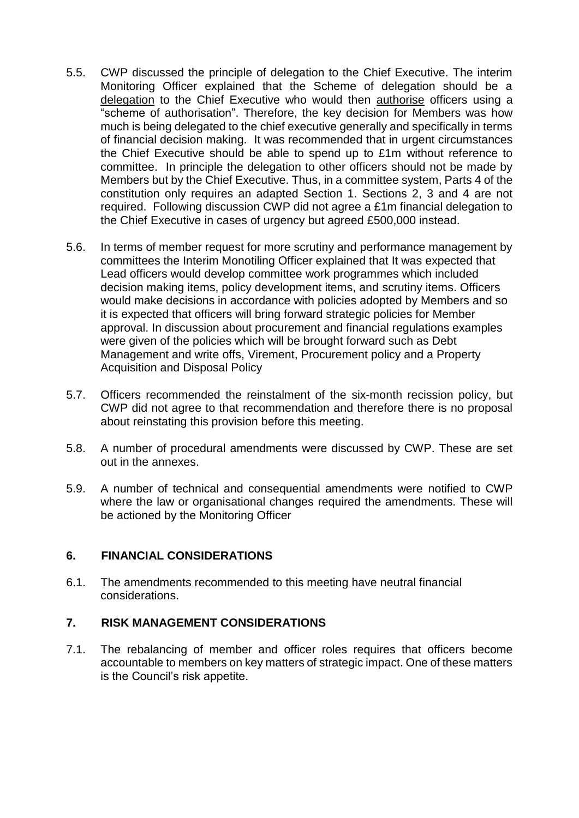- 5.5. CWP discussed the principle of delegation to the Chief Executive. The interim Monitoring Officer explained that the Scheme of delegation should be a delegation to the Chief Executive who would then authorise officers using a "scheme of authorisation". Therefore, the key decision for Members was how much is being delegated to the chief executive generally and specifically in terms of financial decision making. It was recommended that in urgent circumstances the Chief Executive should be able to spend up to £1m without reference to committee. In principle the delegation to other officers should not be made by Members but by the Chief Executive. Thus, in a committee system, Parts 4 of the constitution only requires an adapted Section 1. Sections 2, 3 and 4 are not required. Following discussion CWP did not agree a £1m financial delegation to the Chief Executive in cases of urgency but agreed £500,000 instead.
- 5.6. In terms of member request for more scrutiny and performance management by committees the Interim Monotiling Officer explained that It was expected that Lead officers would develop committee work programmes which included decision making items, policy development items, and scrutiny items. Officers would make decisions in accordance with policies adopted by Members and so it is expected that officers will bring forward strategic policies for Member approval. In discussion about procurement and financial regulations examples were given of the policies which will be brought forward such as Debt Management and write offs, Virement, Procurement policy and a Property Acquisition and Disposal Policy
- 5.7. Officers recommended the reinstalment of the six-month recission policy, but CWP did not agree to that recommendation and therefore there is no proposal about reinstating this provision before this meeting.
- 5.8. A number of procedural amendments were discussed by CWP. These are set out in the annexes.
- 5.9. A number of technical and consequential amendments were notified to CWP where the law or organisational changes required the amendments. These will be actioned by the Monitoring Officer

#### **6. FINANCIAL CONSIDERATIONS**

6.1. The amendments recommended to this meeting have neutral financial considerations.

## **7. RISK MANAGEMENT CONSIDERATIONS**

7.1. The rebalancing of member and officer roles requires that officers become accountable to members on key matters of strategic impact. One of these matters is the Council's risk appetite.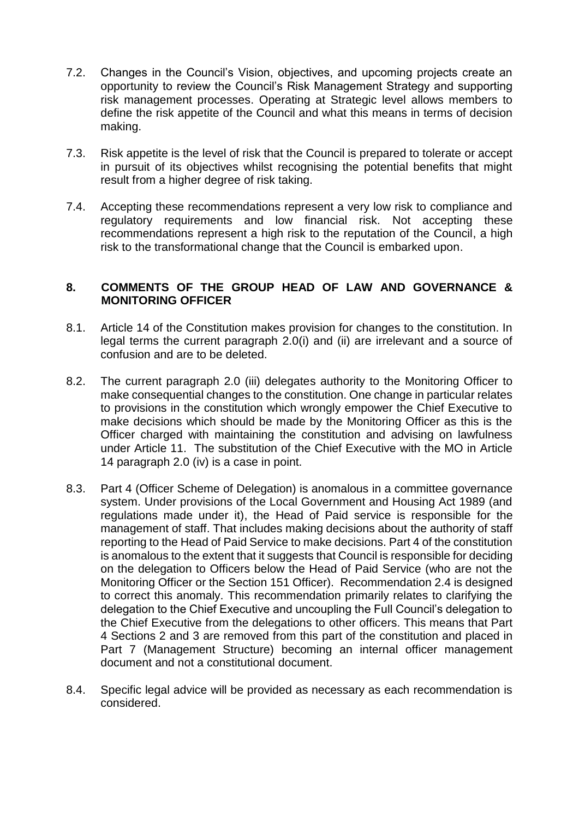- 7.2. Changes in the Council's Vision, objectives, and upcoming projects create an opportunity to review the Council's Risk Management Strategy and supporting risk management processes. Operating at Strategic level allows members to define the risk appetite of the Council and what this means in terms of decision making.
- 7.3. Risk appetite is the level of risk that the Council is prepared to tolerate or accept in pursuit of its objectives whilst recognising the potential benefits that might result from a higher degree of risk taking.
- 7.4. Accepting these recommendations represent a very low risk to compliance and regulatory requirements and low financial risk. Not accepting these recommendations represent a high risk to the reputation of the Council, a high risk to the transformational change that the Council is embarked upon.

#### **8. COMMENTS OF THE GROUP HEAD OF LAW AND GOVERNANCE & MONITORING OFFICER**

- 8.1. Article 14 of the Constitution makes provision for changes to the constitution. In legal terms the current paragraph 2.0(i) and (ii) are irrelevant and a source of confusion and are to be deleted.
- 8.2. The current paragraph 2.0 (iii) delegates authority to the Monitoring Officer to make consequential changes to the constitution. One change in particular relates to provisions in the constitution which wrongly empower the Chief Executive to make decisions which should be made by the Monitoring Officer as this is the Officer charged with maintaining the constitution and advising on lawfulness under Article 11. The substitution of the Chief Executive with the MO in Article 14 paragraph 2.0 (iv) is a case in point.
- 8.3. Part 4 (Officer Scheme of Delegation) is anomalous in a committee governance system. Under provisions of the Local Government and Housing Act 1989 (and regulations made under it), the Head of Paid service is responsible for the management of staff. That includes making decisions about the authority of staff reporting to the Head of Paid Service to make decisions. Part 4 of the constitution is anomalous to the extent that it suggests that Council is responsible for deciding on the delegation to Officers below the Head of Paid Service (who are not the Monitoring Officer or the Section 151 Officer). Recommendation 2.4 is designed to correct this anomaly. This recommendation primarily relates to clarifying the delegation to the Chief Executive and uncoupling the Full Council's delegation to the Chief Executive from the delegations to other officers. This means that Part 4 Sections 2 and 3 are removed from this part of the constitution and placed in Part 7 (Management Structure) becoming an internal officer management document and not a constitutional document.
- 8.4. Specific legal advice will be provided as necessary as each recommendation is considered.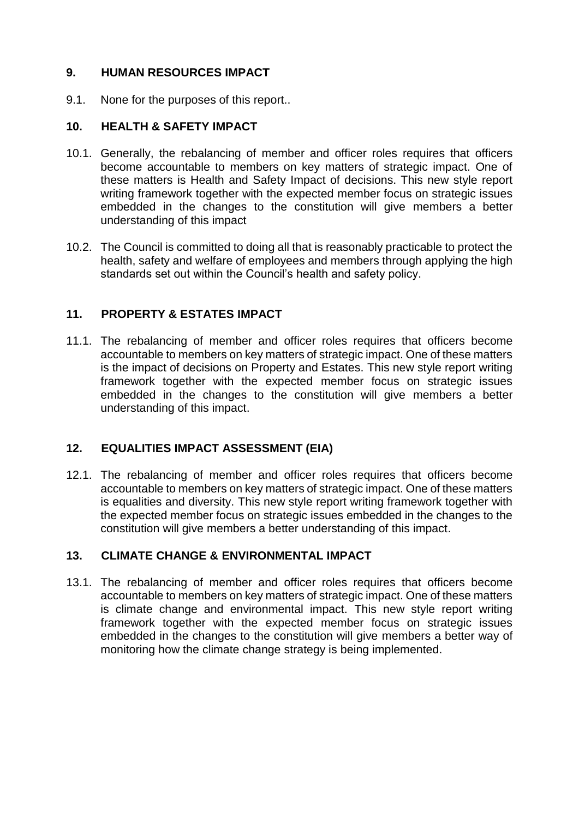# **9. HUMAN RESOURCES IMPACT**

9.1. None for the purposes of this report..

## **10. HEALTH & SAFETY IMPACT**

- 10.1. Generally, the rebalancing of member and officer roles requires that officers become accountable to members on key matters of strategic impact. One of these matters is Health and Safety Impact of decisions. This new style report writing framework together with the expected member focus on strategic issues embedded in the changes to the constitution will give members a better understanding of this impact
- 10.2. The Council is committed to doing all that is reasonably practicable to protect the health, safety and welfare of employees and members through applying the high standards set out within the Council's health and safety policy.

# **11. PROPERTY & ESTATES IMPACT**

11.1. The rebalancing of member and officer roles requires that officers become accountable to members on key matters of strategic impact. One of these matters is the impact of decisions on Property and Estates. This new style report writing framework together with the expected member focus on strategic issues embedded in the changes to the constitution will give members a better understanding of this impact.

# **12. EQUALITIES IMPACT ASSESSMENT (EIA)**

12.1. The rebalancing of member and officer roles requires that officers become accountable to members on key matters of strategic impact. One of these matters is equalities and diversity. This new style report writing framework together with the expected member focus on strategic issues embedded in the changes to the constitution will give members a better understanding of this impact.

## **13. CLIMATE CHANGE & ENVIRONMENTAL IMPACT**

13.1. The rebalancing of member and officer roles requires that officers become accountable to members on key matters of strategic impact. One of these matters is climate change and environmental impact. This new style report writing framework together with the expected member focus on strategic issues embedded in the changes to the constitution will give members a better way of monitoring how the climate change strategy is being implemented.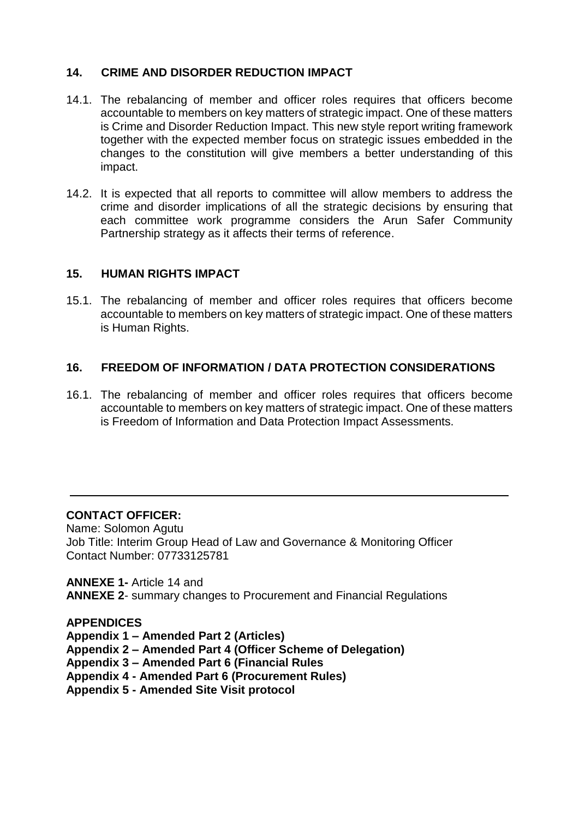# **14. CRIME AND DISORDER REDUCTION IMPACT**

- 14.1. The rebalancing of member and officer roles requires that officers become accountable to members on key matters of strategic impact. One of these matters is Crime and Disorder Reduction Impact. This new style report writing framework together with the expected member focus on strategic issues embedded in the changes to the constitution will give members a better understanding of this impact.
- 14.2. It is expected that all reports to committee will allow members to address the crime and disorder implications of all the strategic decisions by ensuring that each committee work programme considers the Arun Safer Community Partnership strategy as it affects their terms of reference.

#### **15. HUMAN RIGHTS IMPACT**

15.1. The rebalancing of member and officer roles requires that officers become accountable to members on key matters of strategic impact. One of these matters is Human Rights.

## **16. FREEDOM OF INFORMATION / DATA PROTECTION CONSIDERATIONS**

16.1. The rebalancing of member and officer roles requires that officers become accountable to members on key matters of strategic impact. One of these matters is Freedom of Information and Data Protection Impact Assessments.

#### **CONTACT OFFICER:**

Name: Solomon Agutu Job Title: Interim Group Head of Law and Governance & Monitoring Officer Contact Number: 07733125781

**ANNEXE 1-** Article 14 and **ANNEXE 2**- summary changes to Procurement and Financial Regulations

**APPENDICES Appendix 1 – Amended Part 2 (Articles) Appendix 2 – Amended Part 4 (Officer Scheme of Delegation) Appendix 3 – Amended Part 6 (Financial Rules Appendix 4 - Amended Part 6 (Procurement Rules) Appendix 5 - Amended Site Visit protocol**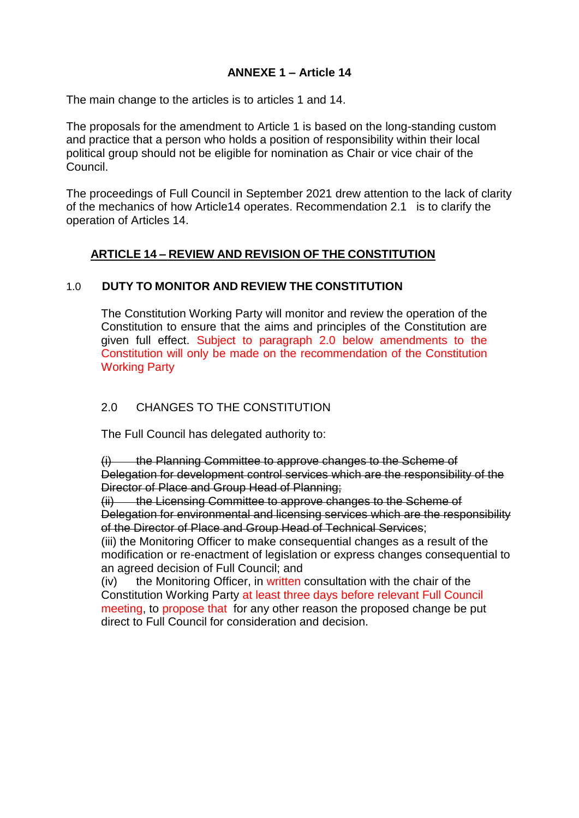# **ANNEXE 1 – Article 14**

The main change to the articles is to articles 1 and 14.

The proposals for the amendment to Article 1 is based on the long-standing custom and practice that a person who holds a position of responsibility within their local political group should not be eligible for nomination as Chair or vice chair of the Council.

The proceedings of Full Council in September 2021 drew attention to the lack of clarity of the mechanics of how Article14 operates. Recommendation 2.1 is to clarify the operation of Articles 14.

## **ARTICLE 14 – REVIEW AND REVISION OF THE CONSTITUTION**

## 1.0 **DUTY TO MONITOR AND REVIEW THE CONSTITUTION**

The Constitution Working Party will monitor and review the operation of the Constitution to ensure that the aims and principles of the Constitution are given full effect. Subject to paragraph 2.0 below amendments to the Constitution will only be made on the recommendation of the Constitution Working Party

## 2.0 CHANGES TO THE CONSTITUTION

The Full Council has delegated authority to:

(i) the Planning Committee to approve changes to the Scheme of Delegation for development control services which are the responsibility of the Director of Place and Group Head of Planning;

(ii) the Licensing Committee to approve changes to the Scheme of Delegation for environmental and licensing services which are the responsibility of the Director of Place and Group Head of Technical Services;

(iii) the Monitoring Officer to make consequential changes as a result of the modification or re-enactment of legislation or express changes consequential to an agreed decision of Full Council; and

(iv) the Monitoring Officer, in written consultation with the chair of the Constitution Working Party at least three days before relevant Full Council meeting, to propose that for any other reason the proposed change be put direct to Full Council for consideration and decision.